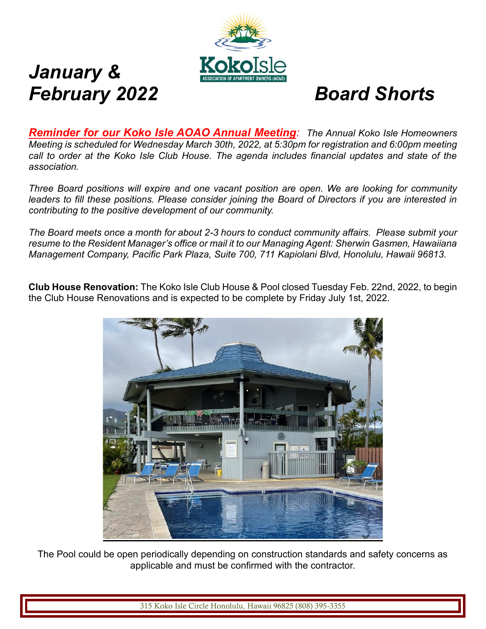

# *January & February 2022 Board Shorts*

*Reminder for our Koko Isle AOAO Annual Meeting: The Annual Koko Isle Homeowners Meeting is scheduled for Wednesday March 30th, 2022, at 5:30pm for registration and 6:00pm meeting call to order at the Koko Isle Club House. The agenda includes financial updates and state of the association.* 

*Three Board positions will expire and one vacant position are open. We are looking for community leaders to fill these positions. Please consider joining the Board of Directors if you are interested in contributing to the positive development of our community.* 

*The Board meets once a month for about 2-3 hours to conduct community affairs. Please submit your resume to the Resident Manager's office or mail it to our Managing Agent: Sherwin Gasmen, Hawaiiana Management Company, Pacific Park Plaza, Suite 700, 711 Kapiolani Blvd, Honolulu, Hawaii 96813.*

**Club House Renovation:** The Koko Isle Club House & Pool closed Tuesday Feb. 22nd, 2022, to begin the Club House Renovations and is expected to be complete by Friday July 1st, 2022.



The Pool could be open periodically depending on construction standards and safety concerns as applicable and must be confirmed with the contractor.

315 Koko Isle Circle Honolulu, Hawaii 96825 (808) 395-3355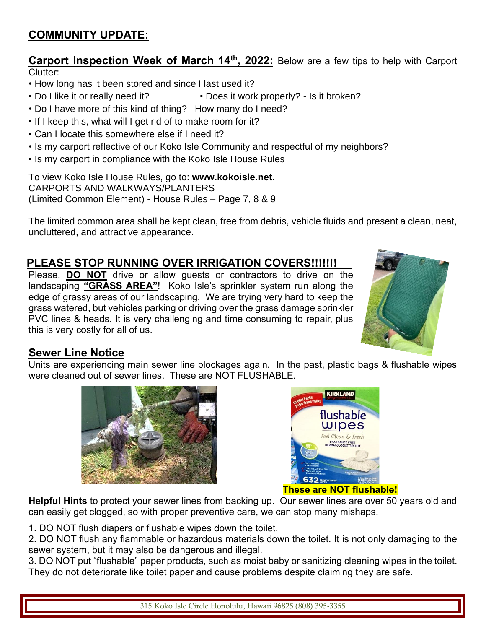# **COMMUNITY UPDATE:**

**Carport Inspection Week of March 14th, 2022:** Below are a few tips to help with Carport Clutter:

- How long has it been stored and since I last used it?
- Do I like it or really need it? Does it work properly? Is it broken?
- Do I have more of this kind of thing? How many do I need?
- If I keep this, what will I get rid of to make room for it?
- Can I locate this somewhere else if I need it?
- Is my carport reflective of our Koko Isle Community and respectful of my neighbors?
- Is my carport in compliance with the Koko Isle House Rules

To view Koko Isle House Rules, go to: **www.kokoisle.net**. CARPORTS AND WALKWAYS/PLANTERS (Limited Common Element) - House Rules – Page 7, 8 & 9

The limited common area shall be kept clean, free from debris, vehicle fluids and present a clean, neat, uncluttered, and attractive appearance.

# **PLEASE STOP RUNNING OVER IRRIGATION COVERS!!!!!!!**

Please, **DO NOT** drive or allow guests or contractors to drive on the landscaping **"GRASS AREA"**! Koko Isle's sprinkler system run along the edge of grassy areas of our landscaping. We are trying very hard to keep the grass watered, but vehicles parking or driving over the grass damage sprinkler PVC lines & heads. It is very challenging and time consuming to repair, plus this is very costly for all of us.



# **Sewer Line Notice**

Units are experiencing main sewer line blockages again. In the past, plastic bags & flushable wipes were cleaned out of sewer lines. These are NOT FLUSHABLE.





## **These are NOT flushable!**

**Helpful Hints** to protect your sewer lines from backing up. Our sewer lines are over 50 years old and can easily get clogged, so with proper preventive care, we can stop many mishaps.

1. DO NOT flush diapers or flushable wipes down the toilet.

2. DO NOT flush any flammable or hazardous materials down the toilet. It is not only damaging to the sewer system, but it may also be dangerous and illegal.

3. DO NOT put "flushable" paper products, such as moist baby or sanitizing cleaning wipes in the toilet. They do not deteriorate like toilet paper and cause problems despite claiming they are safe.

315 Koko Isle Circle Honolulu, Hawaii 96825 (808) 395-3355